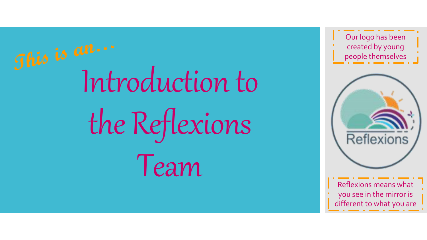Introduction to the Reflexions Team

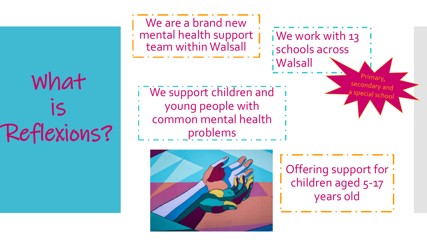## What is Reflexions?

We are a brand new mental health support We work with 13 team within Walsall schools across **Walsall** secondary and We support children and special school young people with common mental health problems



Offering support for children aged 5-17 years old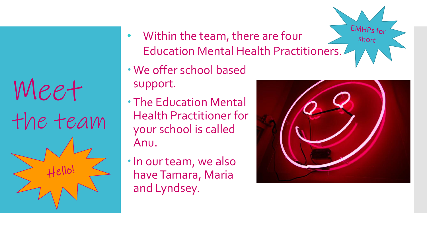Meet the team

- EMHPs for • Within the team, there are four Education Mental Health Practitioners.
- We offer school based support.
- The Education Mental Health Practitioner for your school is called Anu.
- In our team, we also have Tamara, Maria and Lyndsey.



short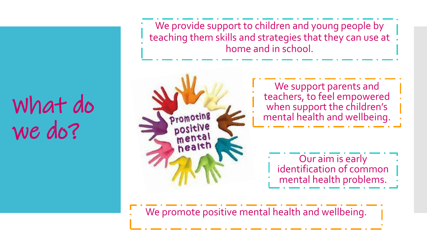## What do we do?

We provide support to children and young people by teaching them skills and strategies that they can use at home and in school.

We support parents and teachers, to feel empowered when support the children's Promoting mental health and wellbeing. positive mental health Our aim is early identification of common mental health problems.

We promote positive mental health and wellbeing.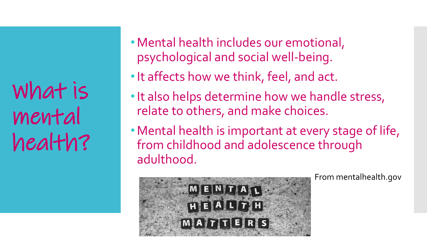What is mental health?

- •Mental health includes our emotional, psychological and social well-being.
- •It affects how we think, feel, and act.
- •It also helps determine how we handle stress, relate to others, and make choices.
- •Mental health is important at every stage of life, from childhood and adolescence through adulthood.



From mentalhealth.gov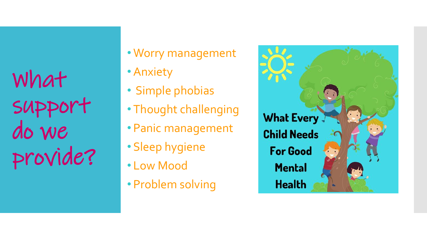What support do we provide?

- Worry management
- Anxiety
- Simple phobias
- Thought challenging
- Panic management
- Sleep hygiene
- Low Mood
- Problem solving

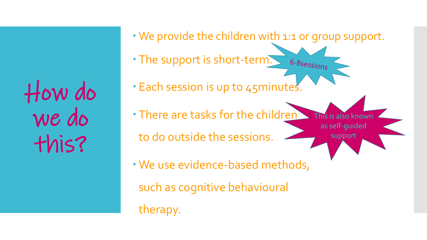How do we do this?

- We provide the children with 1:1 or group support.
- The support is short-term.
- . Each session is up to 45 minutes.
- There are tasks for the children to do outside the sessions. This is also known as self-guided support
- We use evidence-based methods,
	- such as cognitive behavioural
	- therapy.